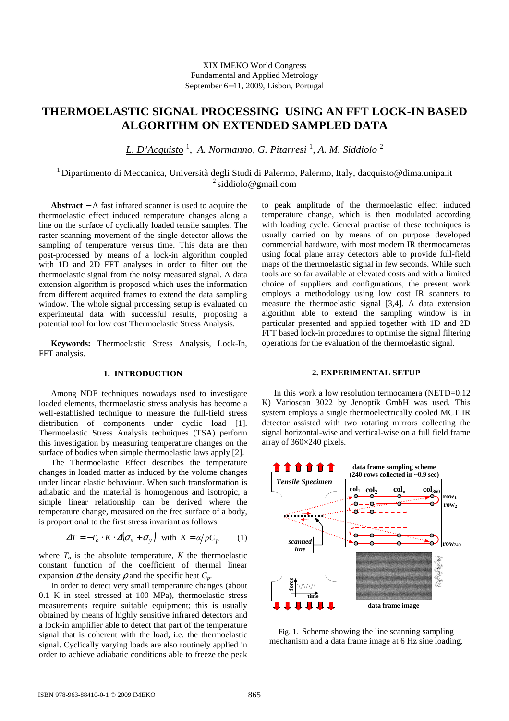## XIX IMEKO World Congress Fundamental and Applied Metrology September 6−11, 2009, Lisbon, Portugal

# **THERMOELASTIC SIGNAL PROCESSING USING AN FFT LOCK-IN BASED ALGORITHM ON EXTENDED SAMPLED DATA**

*L. D'Acquisto* <sup>1</sup> , *A. Normanno, G. Pitarresi* <sup>1</sup> *, A. M. Siddiolo* <sup>2</sup>

<sup>1</sup>Dipartimento di Meccanica, Università degli Studi di Palermo, Palermo, Italy, dacquisto@dima.unipa.it <sup>2</sup> siddiolo@gmail.com

**Abstract** − A fast infrared scanner is used to acquire the thermoelastic effect induced temperature changes along a line on the surface of cyclically loaded tensile samples. The raster scanning movement of the single detector allows the sampling of temperature versus time. This data are then post-processed by means of a lock-in algorithm coupled with 1D and 2D FFT analyses in order to filter out the thermoelastic signal from the noisy measured signal. A data extension algorithm is proposed which uses the information from different acquired frames to extend the data sampling window. The whole signal processing setup is evaluated on experimental data with successful results, proposing a potential tool for low cost Thermoelastic Stress Analysis.

**Keywords:** Thermoelastic Stress Analysis, Lock-In, FFT analysis.

## **1. INTRODUCTION**

Among NDE techniques nowadays used to investigate loaded elements, thermoelastic stress analysis has become a well-established technique to measure the full-field stress distribution of components under cyclic load [1]. Thermoelastic Stress Analysis techniques (TSA) perform this investigation by measuring temperature changes on the surface of bodies when simple thermoelastic laws apply [2].

The Thermoelastic Effect describes the temperature changes in loaded matter as induced by the volume changes under linear elastic behaviour. When such transformation is adiabatic and the material is homogenous and isotropic, a simple linear relationship can be derived where the temperature change, measured on the free surface of a body, is proportional to the first stress invariant as follows:

$$
\Delta T = -T_o \cdot K \cdot \Delta (\sigma_x + \sigma_y) \quad \text{with} \quad K = \alpha / \rho C_p \tag{1}
$$

where  $T<sub>o</sub>$  is the absolute temperature,  $K$  the thermoelastic constant function of the coefficient of thermal linear expansion  $\alpha$  the density  $\rho$  and the specific heat  $C_p$ .

In order to detect very small temperature changes (about 0.1 K in steel stressed at 100 MPa), thermoelastic stress measurements require suitable equipment; this is usually obtained by means of highly sensitive infrared detectors and a lock-in amplifier able to detect that part of the temperature signal that is coherent with the load, i.e. the thermoelastic signal. Cyclically varying loads are also routinely applied in order to achieve adiabatic conditions able to freeze the peak to peak amplitude of the thermoelastic effect induced temperature change, which is then modulated according with loading cycle. General practise of these techniques is usually carried on by means of on purpose developed commercial hardware, with most modern IR thermocameras using focal plane array detectors able to provide full-field maps of the thermoelastic signal in few seconds. While such tools are so far available at elevated costs and with a limited choice of suppliers and configurations, the present work employs a methodology using low cost IR scanners to measure the thermoelastic signal [3,4]. A data extension algorithm able to extend the sampling window is in particular presented and applied together with 1D and 2D FFT based lock-in procedures to optimise the signal filtering operations for the evaluation of the thermoelastic signal.

## **2. EXPERIMENTAL SETUP**

In this work a low resolution termocamera (NETD=0.12 K) Varioscan 3022 by Jenoptik GmbH was used. This system employs a single thermoelectrically cooled MCT IR detector assisted with two rotating mirrors collecting the signal horizontal-wise and vertical-wise on a full field frame array of 360×240 pixels.



Fig. 1. Scheme showing the line scanning sampling mechanism and a data frame image at 6 Hz sine loading.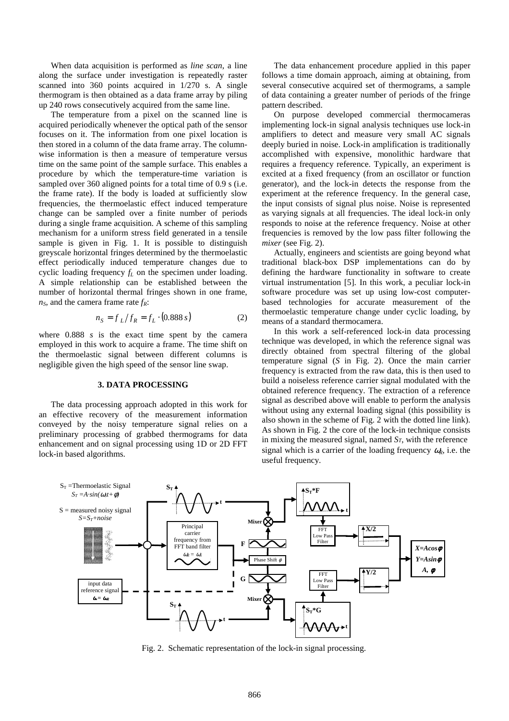When data acquisition is performed as *line scan*, a line along the surface under investigation is repeatedly raster scanned into 360 points acquired in 1/270 s. A single thermogram is then obtained as a data frame array by piling up 240 rows consecutively acquired from the same line.

The temperature from a pixel on the scanned line is acquired periodically whenever the optical path of the sensor focuses on it. The information from one pixel location is then stored in a column of the data frame array. The columnwise information is then a measure of temperature versus time on the same point of the sample surface. This enables a procedure by which the temperature-time variation is sampled over 360 aligned points for a total time of 0.9 s (i.e. the frame rate). If the body is loaded at sufficiently slow frequencies, the thermoelastic effect induced temperature change can be sampled over a finite number of periods during a single frame acquisition. A scheme of this sampling mechanism for a uniform stress field generated in a tensile sample is given in Fig. 1. It is possible to distinguish greyscale horizontal fringes determined by the thermoelastic effect periodically induced temperature changes due to cyclic loading frequency *fL* on the specimen under loading. A simple relationship can be established between the number of horizontal thermal fringes shown in one frame,  $n<sub>S</sub>$ , and the camera frame rate  $f<sub>R</sub>$ :

$$
n_S = f_L / f_R = f_L \cdot (0.888 s)
$$
 (2)

where 0.888 *s* is the exact time spent by the camera employed in this work to acquire a frame. The time shift on the thermoelastic signal between different columns is negligible given the high speed of the sensor line swap.

#### **3. DATA PROCESSING**

The data processing approach adopted in this work for an effective recovery of the measurement information conveyed by the noisy temperature signal relies on a preliminary processing of grabbed thermograms for data enhancement and on signal processing using 1D or 2D FFT lock-in based algorithms.

The data enhancement procedure applied in this paper follows a time domain approach, aiming at obtaining, from several consecutive acquired set of thermograms, a sample of data containing a greater number of periods of the fringe pattern described.

On purpose developed commercial thermocameras implementing lock-in signal analysis techniques use lock-in amplifiers to detect and measure very small AC signals deeply buried in noise. Lock-in amplification is traditionally accomplished with expensive, monolithic hardware that requires a frequency reference. Typically, an experiment is excited at a fixed frequency (from an oscillator or function generator), and the lock-in detects the response from the experiment at the reference frequency. In the general case, the input consists of signal plus noise. Noise is represented as varying signals at all frequencies. The ideal lock-in only responds to noise at the reference frequency. Noise at other frequencies is removed by the low pass filter following the *mixer* (see Fig. 2).

Actually, engineers and scientists are going beyond what traditional black-box DSP implementations can do by defining the hardware functionality in software to create virtual instrumentation [5]. In this work, a peculiar lock-in software procedure was set up using low-cost computerbased technologies for accurate measurement of the thermoelastic temperature change under cyclic loading, by means of a standard thermocamera.

In this work a self-referenced lock-in data processing technique was developed, in which the reference signal was directly obtained from spectral filtering of the global temperature signal (*S* in Fig. 2). Once the main carrier frequency is extracted from the raw data, this is then used to build a noiseless reference carrier signal modulated with the obtained reference frequency. The extraction of a reference signal as described above will enable to perform the analysis without using any external loading signal (this possibility is also shown in the scheme of Fig. 2 with the dotted line link). As shown in Fig. 2 the core of the lock-in technique consists in mixing the measured signal, named *ST*, with the reference signal which is a carrier of the loading frequency  $\omega_R$ , i.e. the useful frequency.



Fig. 2. Schematic representation of the lock-in signal processing.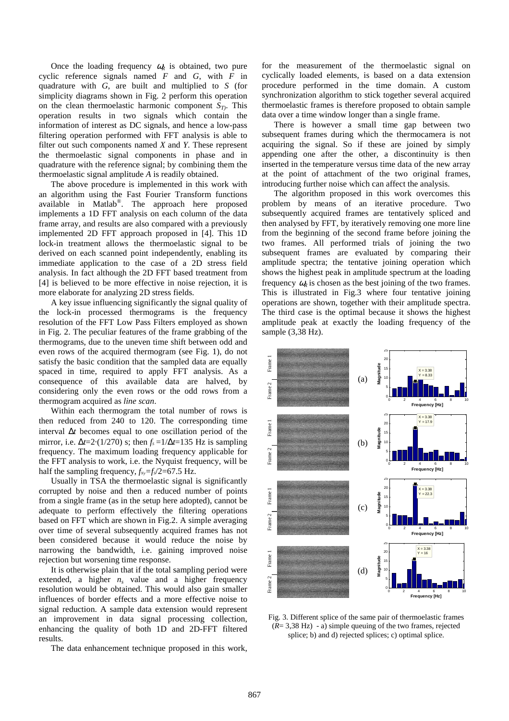Once the loading frequency  $\omega_R$  is obtained, two pure cyclic reference signals named *F* and *G*, with *F* in quadrature with *G*, are built and multiplied to *S* (for simplicity diagrams shown in Fig. 2 perform this operation on the clean thermoelastic harmonic component  $S_T$ . This operation results in two signals which contain the information of interest as DC signals, and hence a low-pass filtering operation performed with FFT analysis is able to filter out such components named *X* and *Y*. These represent the thermoelastic signal components in phase and in quadrature with the reference signal; by combining them the thermoelastic signal amplitude *A* is readily obtained.

The above procedure is implemented in this work with an algorithm using the Fast Fourier Transform functions available in Matlab® . The approach here proposed implements a 1D FFT analysis on each column of the data frame array, and results are also compared with a previously implemented 2D FFT approach proposed in [4]. This 1D lock-in treatment allows the thermoelastic signal to be derived on each scanned point independently, enabling its immediate application to the case of a 2D stress field analysis. In fact although the 2D FFT based treatment from [4] is believed to be more effective in noise rejection, it is more elaborate for analyzing 2D stress fields.

A key issue influencing significantly the signal quality of the lock-in processed thermograms is the frequency resolution of the FFT Low Pass Filters employed as shown in Fig. 2. The peculiar features of the frame grabbing of the thermograms, due to the uneven time shift between odd and even rows of the acquired thermogram (see Fig. 1), do not satisfy the basic condition that the sampled data are equally spaced in time, required to apply FFT analysis. As a consequence of this available data are halved, by considering only the even rows or the odd rows from a thermogram acquired as *line scan*.

Within each thermogram the total number of rows is then reduced from 240 to 120. The corresponding time interval ∆*t* becomes equal to one oscillation period of the mirror, i.e.  $\Delta t = 2 \cdot (1/270)$  s; then  $f_s = 1/\Delta t = 135$  Hz is sampling frequency. The maximum loading frequency applicable for the FFT analysis to work, i.e. the Nyquist frequency, will be half the sampling frequency,  $f_{\text{Ny}}=f_{\text{y}}/2=67.5$  Hz.

Usually in TSA the thermoelastic signal is significantly corrupted by noise and then a reduced number of points from a single frame (as in the setup here adopted), cannot be adequate to perform effectively the filtering operations based on FFT which are shown in Fig.2. A simple averaging over time of several subsequently acquired frames has not been considered because it would reduce the noise by narrowing the bandwidth, i.e. gaining improved noise rejection but worsening time response.

It is otherwise plain that if the total sampling period were extended, a higher  $n<sub>s</sub>$  value and a higher frequency resolution would be obtained. This would also gain smaller influences of border effects and a more effective noise to signal reduction. A sample data extension would represent an improvement in data signal processing collection, enhancing the quality of both 1D and 2D-FFT filtered results.

The data enhancement technique proposed in this work,

for the measurement of the thermoelastic signal on cyclically loaded elements, is based on a data extension procedure performed in the time domain. A custom synchronization algorithm to stick together several acquired thermoelastic frames is therefore proposed to obtain sample data over a time window longer than a single frame.

There is however a small time gap between two subsequent frames during which the thermocamera is not acquiring the signal. So if these are joined by simply appending one after the other, a discontinuity is then inserted in the temperature versus time data of the new array at the point of attachment of the two original frames, introducing further noise which can affect the analysis.

The algorithm proposed in this work overcomes this problem by means of an iterative procedure. Two subsequently acquired frames are tentatively spliced and then analysed by FFT, by iteratively removing one more line from the beginning of the second frame before joining the two frames. All performed trials of joining the two subsequent frames are evaluated by comparing their amplitude spectra; the tentative joining operation which shows the highest peak in amplitude spectrum at the loading frequency  $\omega_R$  is chosen as the best joining of the two frames. This is illustrated in Fig.3 where four tentative joining operations are shown, together with their amplitude spectra. The third case is the optimal because it shows the highest amplitude peak at exactly the loading frequency of the sample (3,38 Hz).



Fig. 3. Different splice of the same pair of thermoelastic frames (*R*= 3,38 Hz) - a) simple queuing of the two frames, rejected splice; b) and d) rejected splices; c) optimal splice.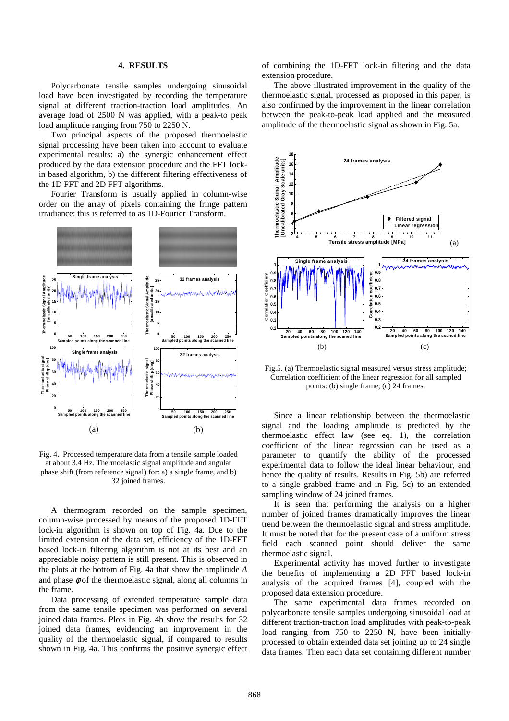## **4. RESULTS**

Polycarbonate tensile samples undergoing sinusoidal load have been investigated by recording the temperature signal at different traction-traction load amplitudes. An average load of 2500 N was applied, with a peak-to peak load amplitude ranging from 750 to 2250 N.

Two principal aspects of the proposed thermoelastic signal processing have been taken into account to evaluate experimental results: a) the synergic enhancement effect produced by the data extension procedure and the FFT lockin based algorithm, b) the different filtering effectiveness of the 1D FFT and 2D FFT algorithms.

Fourier Transform is usually applied in column-wise order on the array of pixels containing the fringe pattern irradiance: this is referred to as 1D-Fourier Transform.



Fig. 4. Processed temperature data from a tensile sample loaded at about 3.4 Hz. Thermoelastic signal amplitude and angular phase shift (from reference signal) for: a) a single frame, and b) 32 joined frames.

A thermogram recorded on the sample specimen, column-wise processed by means of the proposed 1D-FFT lock-in algorithm is shown on top of Fig. 4a. Due to the limited extension of the data set, efficiency of the 1D-FFT based lock-in filtering algorithm is not at its best and an appreciable noisy pattern is still present. This is observed in the plots at the bottom of Fig. 4a that show the amplitude *A* and phase  $\phi$  of the thermoelastic signal, along all columns in the frame.

Data processing of extended temperature sample data from the same tensile specimen was performed on several joined data frames. Plots in Fig. 4b show the results for 32 joined data frames, evidencing an improvement in the quality of the thermoelastic signal, if compared to results shown in Fig. 4a. This confirms the positive synergic effect of combining the 1D-FFT lock-in filtering and the data extension procedure.

The above illustrated improvement in the quality of the thermoelastic signal, processed as proposed in this paper, is also confirmed by the improvement in the linear correlation between the peak-to-peak load applied and the measured amplitude of the thermoelastic signal as shown in Fig. 5a.



Fig.5. (a) Thermoelastic signal measured versus stress amplitude; Correlation coefficient of the linear regression for all sampled points: (b) single frame; (c) 24 frames.

Since a linear relationship between the thermoelastic signal and the loading amplitude is predicted by the thermoelastic effect law (see eq. 1), the correlation coefficient of the linear regression can be used as a parameter to quantify the ability of the processed experimental data to follow the ideal linear behaviour, and hence the quality of results. Results in Fig. 5b) are referred to a single grabbed frame and in Fig. 5c) to an extended sampling window of 24 joined frames.

It is seen that performing the analysis on a higher number of joined frames dramatically improves the linear trend between the thermoelastic signal and stress amplitude. It must be noted that for the present case of a uniform stress field each scanned point should deliver the same thermoelastic signal.

Experimental activity has moved further to investigate the benefits of implementing a 2D FFT based lock-in analysis of the acquired frames [4], coupled with the proposed data extension procedure.

The same experimental data frames recorded on polycarbonate tensile samples undergoing sinusoidal load at different traction-traction load amplitudes with peak-to-peak load ranging from 750 to 2250 N, have been initially processed to obtain extended data set joining up to 24 single data frames. Then each data set containing different number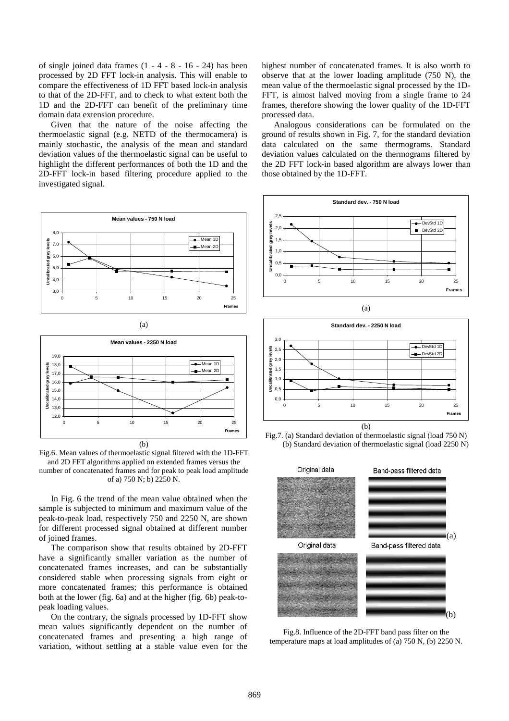of single joined data frames (1 - 4 - 8 - 16 - 24) has been processed by 2D FFT lock-in analysis. This will enable to compare the effectiveness of 1D FFT based lock-in analysis to that of the 2D-FFT, and to check to what extent both the 1D and the 2D-FFT can benefit of the preliminary time domain data extension procedure.

Given that the nature of the noise affecting the thermoelastic signal (e.g. NETD of the thermocamera) is mainly stochastic, the analysis of the mean and standard deviation values of the thermoelastic signal can be useful to highlight the different performances of both the 1D and the 2D-FFT lock-in based filtering procedure applied to the investigated signal.







In Fig. 6 the trend of the mean value obtained when the sample is subjected to minimum and maximum value of the peak-to-peak load, respectively 750 and 2250 N, are shown for different processed signal obtained at different number of joined frames.

The comparison show that results obtained by 2D-FFT have a significantly smaller variation as the number of concatenated frames increases, and can be substantially considered stable when processing signals from eight or more concatenated frames; this performance is obtained both at the lower (fig. 6a) and at the higher (fig. 6b) peak-topeak loading values.

On the contrary, the signals processed by 1D-FFT show mean values significantly dependent on the number of concatenated frames and presenting a high range of variation, without settling at a stable value even for the highest number of concatenated frames. It is also worth to observe that at the lower loading amplitude (750 N), the mean value of the thermoelastic signal processed by the 1D-FFT, is almost halved moving from a single frame to 24 frames, therefore showing the lower quality of the 1D-FFT processed data.

Analogous considerations can be formulated on the ground of results shown in Fig. 7, for the standard deviation data calculated on the same thermograms. Standard deviation values calculated on the thermograms filtered by the 2D FFT lock-in based algorithm are always lower than those obtained by the 1D-FFT.







Fig.8. Influence of the 2D-FFT band pass filter on the temperature maps at load amplitudes of (a) 750 N, (b) 2250 N.